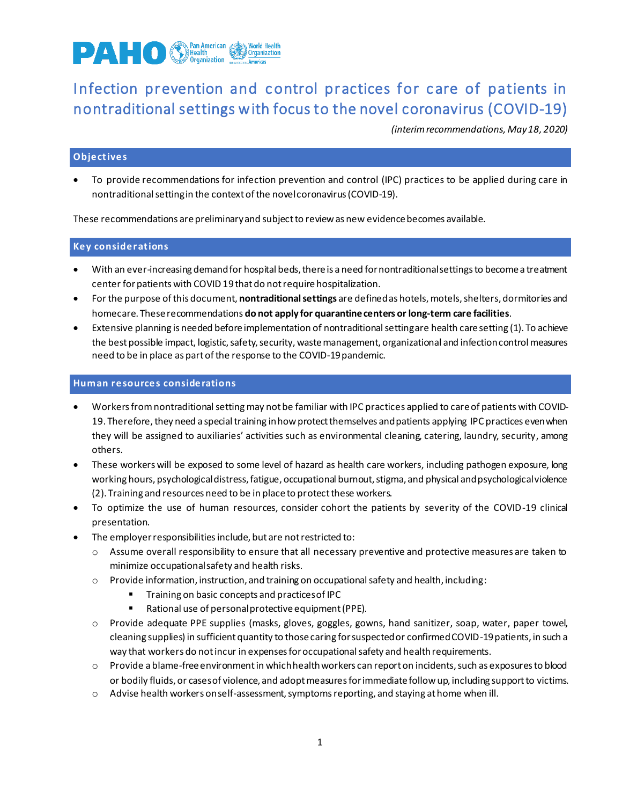

# Infection prevention and control practices for c are of patients in nontraditional settings with focus to the novel coronavirus (COVID-19)

*(interim recommendations, May 18, 2020)*

## **Object ives**

• To provide recommendations for infection prevention and control (IPC) practices to be applied during care in nontraditional settingin the context of the novel coronavirus (COVID-19).

These recommendations are preliminary and subject to review as new evidence becomes available.

## **Key considerat ions**

- With an ever-increasing demand for hospital beds, there is a need for nontraditional settings to become a treatment center for patients with COVID 19that do not require hospitalization.
- For the purpose of this document, **nontraditionalsettings** are defined as hotels,motels, shelters, dormitories and homecare. These recommendations **do not apply for quarantine centers or long-term care facilities**.
- Extensive planning is needed before implementation of nontraditional settingare health care setting (1). To achieve the best possible impact, logistic, safety, security, waste management, organizational and infection control measures need to be in place as part of the response to the COVID-19 pandemic.

#### **Human resources conside rations**

- Workers from nontraditionalsetting may not be familiar with IPC practices applied to care of patients with COVID-19. Therefore, they need a special training in how protect themselves and patients applying IPC practices even when they will be assigned to auxiliaries' activities such as environmental cleaning, catering, laundry, security, among others.
- These workers will be exposed to some level of hazard as health care workers, including pathogen exposure, long working hours, psychological distress, fatigue, occupational burnout, stigma, and physical and psychological violence (2). Training and resources need to be in place to protect these workers.
- To optimize the use of human resources, consider cohort the patients by severity of the COVID-19 clinical presentation.
- The employer responsibilities include, but are not restricted to:
	- o Assume overall responsibility to ensure that all necessary preventive and protective measures are taken to minimize occupational safety and health risks.
	- $\circ$  Provide information, instruction, and training on occupational safety and health, including:
		- Training on basic concepts and practices of IPC
		- Rational use of personal protective equipment (PPE).
	- o Provide adequate PPE supplies (masks, gloves, goggles, gowns, hand sanitizer, soap, water, paper towel, cleaning supplies) in sufficient quantity to those caring for suspected or confirmed COVID-19 patients, in such a way that workers do not incur in expenses for occupational safety and health requirements.
	- o Provide a blame-free environment in which health workers can report on incidents, such as exposures to blood or bodily fluids, or cases of violence, and adopt measures for immediate follow up, including support to victims.
	- $\circ$  Advise health workers on self-assessment, symptoms reporting, and staying at home when ill.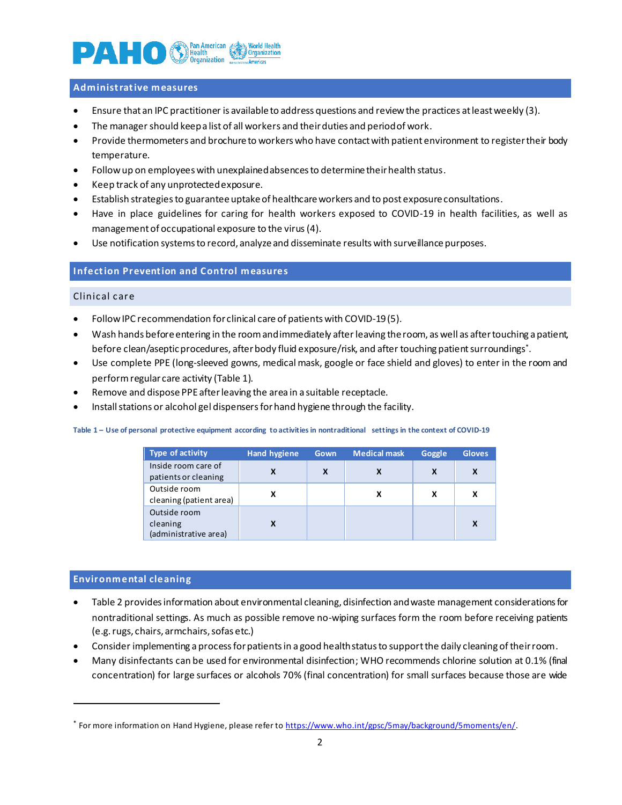

#### **Administ rat ive measures**

- Ensure that an IPC practitioner is available to address questions and review the practices at least weekly (3).
- The manager should keep a list of all workers and their duties and period of work.
- Provide thermometers and brochure to workers who have contact with patient environment to register their body temperature.
- Follow up on employees with unexplained absences to determine their health status.
- Keep track of any unprotected exposure.
- Establish strategies to guarantee uptake of healthcare workers and to post exposure consultations.
- Have in place guidelines for caring for health workers exposed to COVID-19 in health facilities, as well as management of occupational exposure to the virus(4).
- Use notification systems to record, analyze and disseminate results with surveillance purposes.

## **Infect ion Prevent ion and Control measures**

### Clinic al c are

- Follow IPC recommendation for clinical care of patients with COVID-19(5).
- Wash hands before entering in the room and immediately after leaving the room, as well as aftertouching a patient, before clean/aseptic procedures, after body fluid exposure/risk, and after touching patient surroundings\* .
- Use complete PPE (long-sleeved gowns, medical mask, google or face shield and gloves) to enter in the room and perform regular care activity [\(Table 1](#page-1-0)).
- Remove and dispose PPE after leaving the area in a suitable receptacle.
- Install stations or alcohol gel dispensers for hand hygiene through the facility.

#### <span id="page-1-0"></span>**Table 1 – Use of personal protective equipment according to activities in nontraditional settings in the context of COVID-19**

| Type of activity                            | <b>Hand hygiene</b> | Gown | <b>Medical mask</b> | Goggle | <b>Gloves</b> |
|---------------------------------------------|---------------------|------|---------------------|--------|---------------|
| Inside room care of<br>patients or cleaning |                     | X    |                     | X      | X             |
| Outside room<br>cleaning (patient area)     |                     |      |                     |        | X             |
| Outside room                                |                     |      |                     |        |               |
| cleaning<br>(administrative area)           |                     |      |                     |        | X             |

#### **Environmental cleaning**

- [Table 2](#page-2-0) provides information about environmental cleaning, disinfection and waste management considerations for nontraditional settings. As much as possible remove no-wiping surfaces form the room before receiving patients (e.g. rugs, chairs, armchairs, sofas etc.)
- Consider implementing a process for patients in a good health status to support the daily cleaning of their room.
- Many disinfectants can be used for environmental disinfection; WHO recommends chlorine solution at 0.1% (final concentration) for large surfaces or alcohols 70% (final concentration) for small surfaces because those are wide

<sup>\*</sup> For more information on Hand Hygiene, please refer to [https://www.who.int/gpsc/5may/background/5moments/en/.](https://www.who.int/gpsc/5may/background/5moments/en/)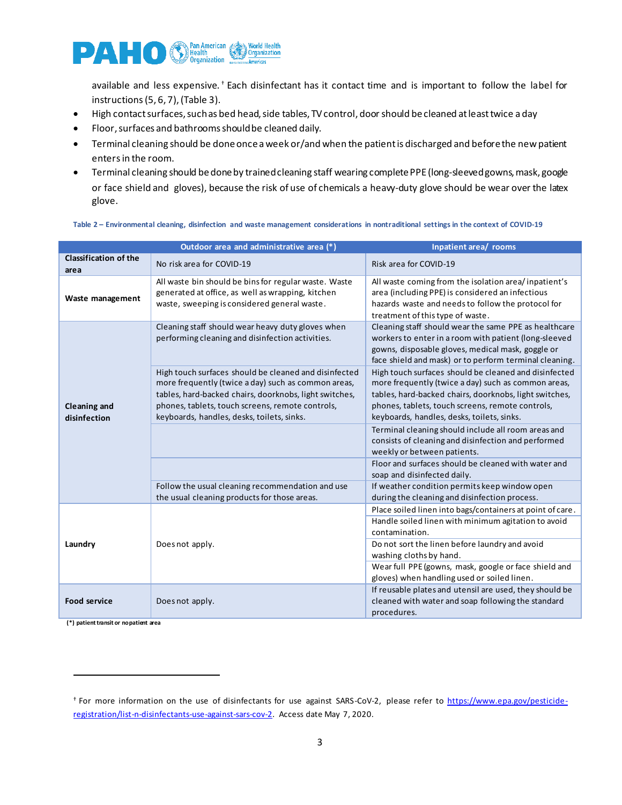

available and less expensive. † Each disinfectant has it contact time and is important to follow the label for instructions (5, 6, 7)[,\(Table 3](#page-3-0)).

- High contact surfaces, such as bed head, side tables, TV control, door should be cleaned at least twice a day
- Floor, surfaces and bathroomsshould be cleaned daily.
- Terminal cleaning should be done once a week or/and when the patient is discharged and before the new patient entersin the room.
- Terminal cleaning should be done by trained cleaning staff wearing complete PPE (long-sleeved gowns, mask, google or face shield and gloves), because the risk of use of chemicals a heavy-duty glove should be wear over the latex glove.

|                                      | Outdoor area and administrative area (*)                                                                                                                                                                                                                                 | Inpatient area/ rooms                                                                                                                                                                                                                                                    |  |
|--------------------------------------|--------------------------------------------------------------------------------------------------------------------------------------------------------------------------------------------------------------------------------------------------------------------------|--------------------------------------------------------------------------------------------------------------------------------------------------------------------------------------------------------------------------------------------------------------------------|--|
| <b>Classification of the</b><br>area | No risk area for COVID-19                                                                                                                                                                                                                                                | Risk area for COVID-19                                                                                                                                                                                                                                                   |  |
| Waste management                     | All waste bin should be bins for regular waste. Waste<br>generated at office, as well as wrapping, kitchen<br>waste, sweeping is considered general waste.                                                                                                               | All waste coming from the isolation area/inpatient's<br>area (including PPE) is considered an infectious<br>hazards waste and needs to follow the protocol for<br>treatment of this type of waste.                                                                       |  |
|                                      | Cleaning staff should wear heavy duty gloves when<br>performing cleaning and disinfection activities.                                                                                                                                                                    | Cleaning staff should wear the same PPE as healthcare<br>workers to enter in a room with patient (long-sleeved<br>gowns, disposable gloves, medical mask, goggle or<br>face shield and mask) or to perform terminal cleaning.                                            |  |
| <b>Cleaning and</b><br>disinfection  | High touch surfaces should be cleaned and disinfected<br>more frequently (twice a day) such as common areas,<br>tables, hard-backed chairs, doorknobs, light switches,<br>phones, tablets, touch screens, remote controls,<br>keyboards, handles, desks, toilets, sinks. | High touch surfaces should be cleaned and disinfected<br>more frequently (twice a day) such as common areas,<br>tables, hard-backed chairs, doorknobs, light switches,<br>phones, tablets, touch screens, remote controls,<br>keyboards, handles, desks, toilets, sinks. |  |
|                                      |                                                                                                                                                                                                                                                                          | Terminal cleaning should include all room areas and<br>consists of cleaning and disinfection and performed<br>weekly or between patients.                                                                                                                                |  |
|                                      |                                                                                                                                                                                                                                                                          | Floor and surfaces should be cleaned with water and<br>soap and disinfected daily.                                                                                                                                                                                       |  |
|                                      | Follow the usual cleaning recommendation and use<br>the usual cleaning products for those areas.                                                                                                                                                                         | If weather condition permits keep window open<br>during the cleaning and disinfection process.                                                                                                                                                                           |  |
| Laundry                              |                                                                                                                                                                                                                                                                          | Place soiled linen into bags/containers at point of care.<br>Handle soiled linen with minimum agitation to avoid<br>contamination.                                                                                                                                       |  |
|                                      | Does not apply.                                                                                                                                                                                                                                                          | Do not sort the linen before laundry and avoid<br>washing cloths by hand.<br>Wear full PPE (gowns, mask, google or face shield and                                                                                                                                       |  |
|                                      |                                                                                                                                                                                                                                                                          | gloves) when handling used or soiled linen.                                                                                                                                                                                                                              |  |
| <b>Food service</b>                  | Does not apply.                                                                                                                                                                                                                                                          | If reusable plates and utensil are used, they should be<br>cleaned with water and soap following the standard<br>procedures.                                                                                                                                             |  |

#### <span id="page-2-0"></span>**Table 2 – Environmental cleaning, disinfection and waste management considerations in nontraditional settings in the context of COVID-19**

**(\*) patient transit or no patient area**

<sup>&</sup>lt;sup>†</sup> For more information on the use of disinfectants for use against SARS-CoV-2, please refer to [https://www.epa.gov/pesticide](https://www.epa.gov/pesticide-registration/list-n-disinfectants-use-against-sars-cov-2)[registration/list-n-disinfectants-use-against-sars-cov-2.](https://www.epa.gov/pesticide-registration/list-n-disinfectants-use-against-sars-cov-2) Access date May 7, 2020.